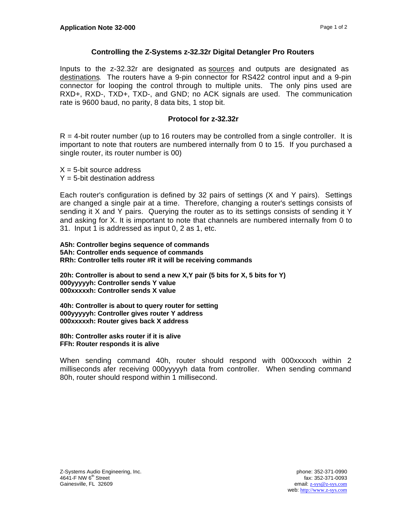## **Controlling the Z-Systems z-32.32r Digital Detangler Pro Routers**

Inputs to the z-32.32r are designated as sources and outputs are designated as destinations. The routers have a 9-pin connector for RS422 control input and a 9-pin connector for looping the control through to multiple units. The only pins used are RXD+, RXD-, TXD+, TXD-, and GND; no ACK signals are used. The communication rate is 9600 baud, no parity, 8 data bits, 1 stop bit.

## **Protocol for z-32.32r**

 $R = 4$ -bit router number (up to 16 routers may be controlled from a single controller. It is important to note that routers are numbered internally from 0 to 15. If you purchased a single router, its router number is 00)

 $X = 5$ -bit source address  $Y = 5$ -bit destination address

Each router's configuration is defined by 32 pairs of settings (X and Y pairs). Settings are changed a single pair at a time. Therefore, changing a router's settings consists of sending it X and Y pairs. Querying the router as to its settings consists of sending it Y and asking for X. It is important to note that channels are numbered internally from 0 to 31. Input 1 is addressed as input 0, 2 as 1, etc.

**A5h: Controller begins sequence of commands 5Ah: Controller ends sequence of commands RRh: Controller tells router #R it will be receiving commands**

**20h: Controller is about to send a new X,Y pair (5 bits for X, 5 bits for Y) 000yyyyyh: Controller sends Y value 000xxxxxh: Controller sends X value**

**40h: Controller is about to query router for setting 000yyyyyh: Controller gives router Y address 000xxxxxh: Router gives back X address**

**80h: Controller asks router if it is alive FFh: Router responds it is alive**

When sending command 40h, router should respond with 000xxxxxh within 2 milliseconds afer receiving 000yyyyyh data from controller. When sending command 80h, router should respond within 1 millisecond.